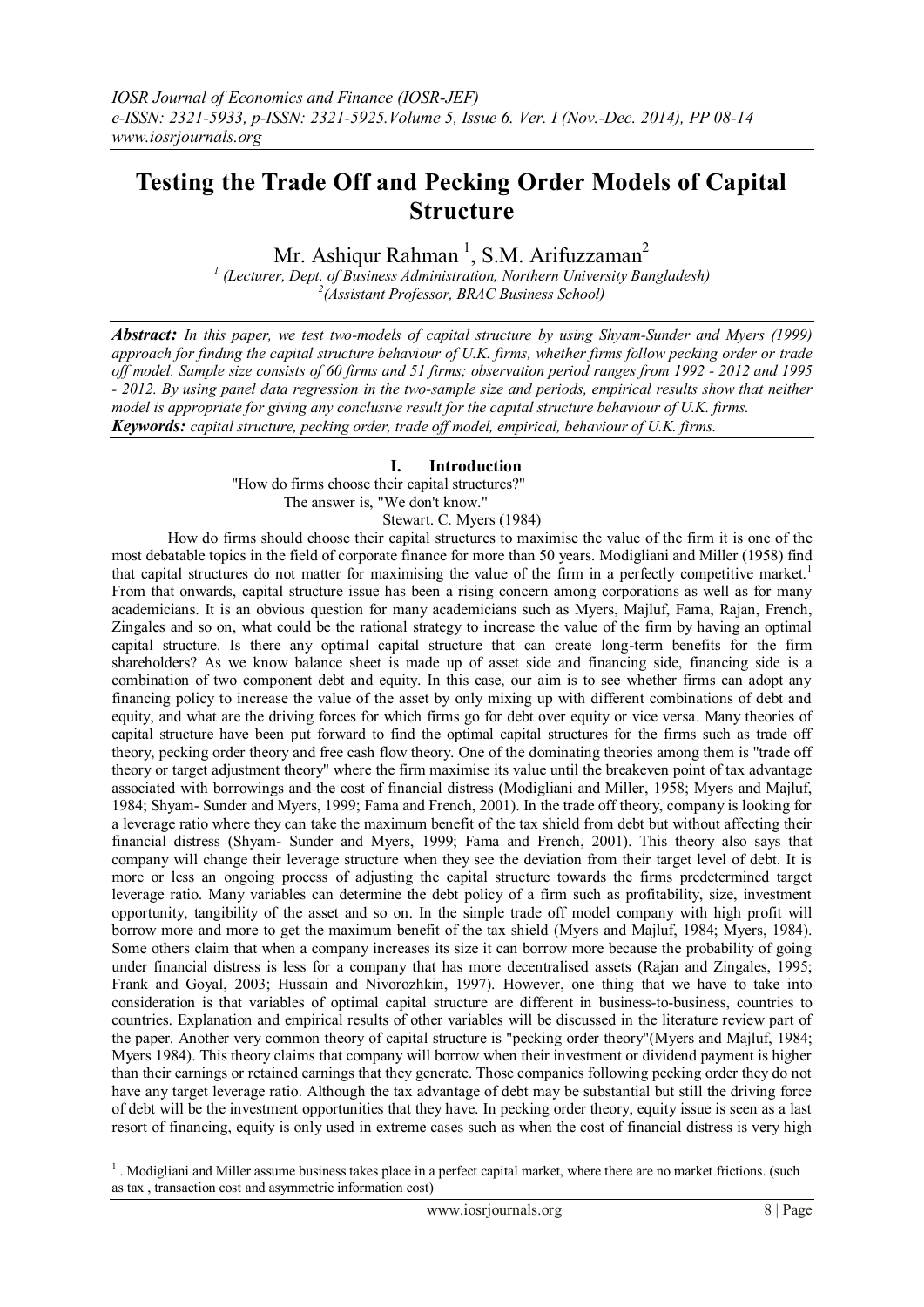# **Testing the Trade Off and Pecking Order Models of Capital Structure**

Mr. Ashiqur Rahman<sup>1</sup>, S.M. Arifuzzaman<sup>2</sup>

*1 (Lecturer, Dept. of Business Administration, Northern University Bangladesh) 2 (Assistant Professor, BRAC Business School)*

*Abstract: In this paper, we test two-models of capital structure by using Shyam-Sunder and Myers (1999) approach for finding the capital structure behaviour of U.K. firms, whether firms follow pecking order or trade off model. Sample size consists of 60 firms and 51 firms; observation period ranges from 1992 - 2012 and 1995 - 2012. By using panel data regression in the two-sample size and periods, empirical results show that neither model is appropriate for giving any conclusive result for the capital structure behaviour of U.K. firms. Keywords: capital structure, pecking order, trade off model, empirical, behaviour of U.K. firms.*

## **I. Introduction**

 "How do firms choose their capital structures?" The answer is, "We don't know."

Stewart. C. Myers (1984)

How do firms should choose their capital structures to maximise the value of the firm it is one of the most debatable topics in the field of corporate finance for more than 50 years. Modigliani and Miller (1958) find that capital structures do not matter for maximising the value of the firm in a perfectly competitive market.<sup>1</sup> From that onwards, capital structure issue has been a rising concern among corporations as well as for many academicians. It is an obvious question for many academicians such as Myers, Majluf, Fama, Rajan, French, Zingales and so on, what could be the rational strategy to increase the value of the firm by having an optimal capital structure. Is there any optimal capital structure that can create long-term benefits for the firm shareholders? As we know balance sheet is made up of asset side and financing side, financing side is a combination of two component debt and equity. In this case, our aim is to see whether firms can adopt any financing policy to increase the value of the asset by only mixing up with different combinations of debt and equity, and what are the driving forces for which firms go for debt over equity or vice versa. Many theories of capital structure have been put forward to find the optimal capital structures for the firms such as trade off theory, pecking order theory and free cash flow theory. One of the dominating theories among them is "trade off theory or target adjustment theory" where the firm maximise its value until the breakeven point of tax advantage associated with borrowings and the cost of financial distress (Modigliani and Miller, 1958; Myers and Majluf, 1984; Shyam- Sunder and Myers, 1999; Fama and French, 2001). In the trade off theory, company is looking for a leverage ratio where they can take the maximum benefit of the tax shield from debt but without affecting their financial distress (Shyam- Sunder and Myers, 1999; Fama and French, 2001). This theory also says that company will change their leverage structure when they see the deviation from their target level of debt. It is more or less an ongoing process of adjusting the capital structure towards the firms predetermined target leverage ratio. Many variables can determine the debt policy of a firm such as profitability, size, investment opportunity, tangibility of the asset and so on. In the simple trade off model company with high profit will borrow more and more to get the maximum benefit of the tax shield (Myers and Majluf, 1984; Myers, 1984). Some others claim that when a company increases its size it can borrow more because the probability of going under financial distress is less for a company that has more decentralised assets (Rajan and Zingales, 1995; Frank and Goyal, 2003; Hussain and Nivorozhkin, 1997). However, one thing that we have to take into consideration is that variables of optimal capital structure are different in business-to-business, countries to countries. Explanation and empirical results of other variables will be discussed in the literature review part of the paper. Another very common theory of capital structure is "pecking order theory"(Myers and Majluf, 1984; Myers 1984). This theory claims that company will borrow when their investment or dividend payment is higher than their earnings or retained earnings that they generate. Those companies following pecking order they do not have any target leverage ratio. Although the tax advantage of debt may be substantial but still the driving force of debt will be the investment opportunities that they have. In pecking order theory, equity issue is seen as a last resort of financing, equity is only used in extreme cases such as when the cost of financial distress is very high

-

<sup>&</sup>lt;sup>1</sup>. Modigliani and Miller assume business takes place in a perfect capital market, where there are no market frictions. (such as tax , transaction cost and asymmetric information cost)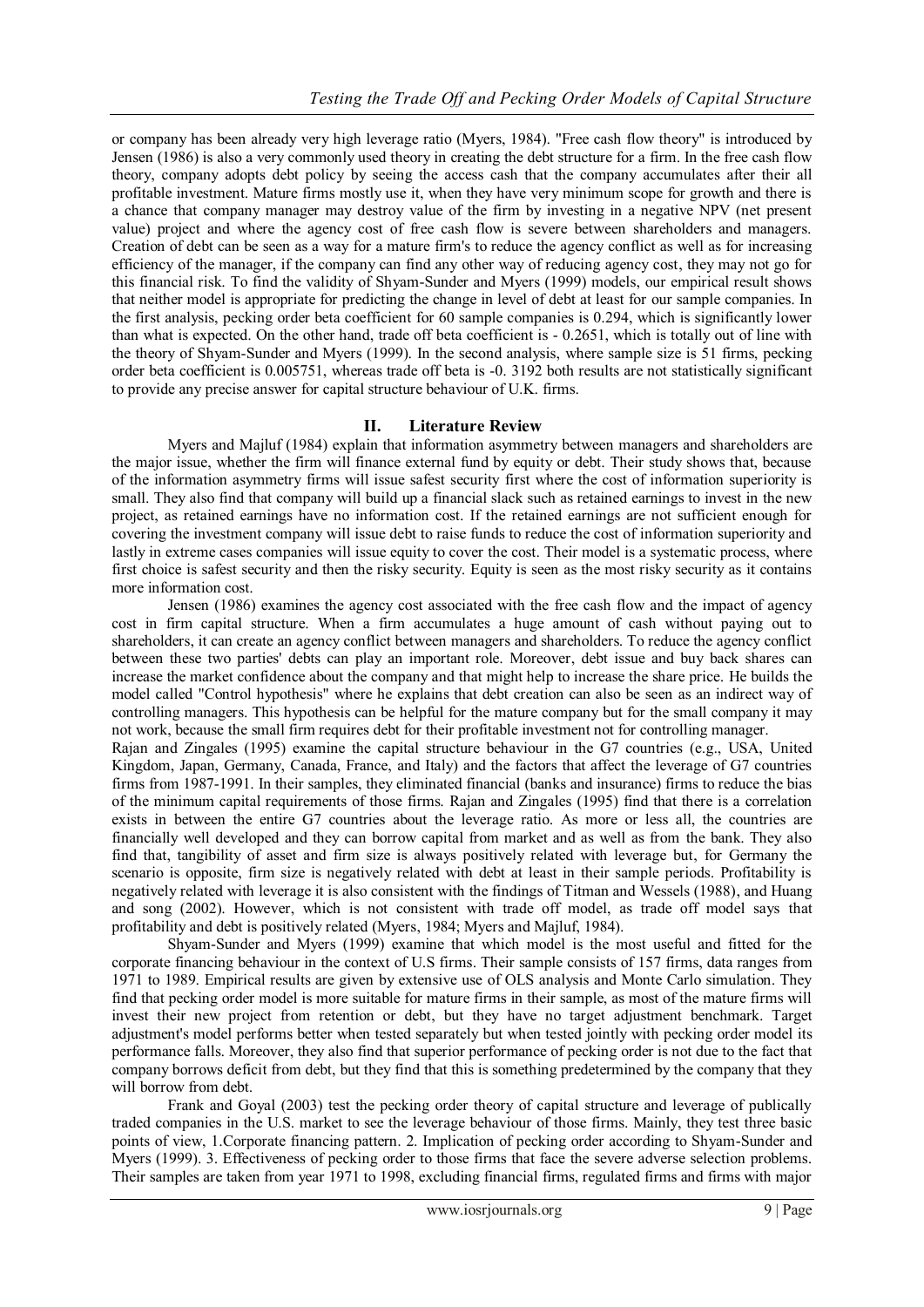or company has been already very high leverage ratio (Myers, 1984). "Free cash flow theory" is introduced by Jensen (1986) is also a very commonly used theory in creating the debt structure for a firm. In the free cash flow theory, company adopts debt policy by seeing the access cash that the company accumulates after their all profitable investment. Mature firms mostly use it, when they have very minimum scope for growth and there is a chance that company manager may destroy value of the firm by investing in a negative NPV (net present value) project and where the agency cost of free cash flow is severe between shareholders and managers. Creation of debt can be seen as a way for a mature firm's to reduce the agency conflict as well as for increasing efficiency of the manager, if the company can find any other way of reducing agency cost, they may not go for this financial risk. To find the validity of Shyam-Sunder and Myers (1999) models, our empirical result shows that neither model is appropriate for predicting the change in level of debt at least for our sample companies. In the first analysis, pecking order beta coefficient for 60 sample companies is 0.294, which is significantly lower than what is expected. On the other hand, trade off beta coefficient is - 0.2651, which is totally out of line with the theory of Shyam-Sunder and Myers (1999). In the second analysis, where sample size is 51 firms, pecking order beta coefficient is 0.005751, whereas trade off beta is -0. 3192 both results are not statistically significant to provide any precise answer for capital structure behaviour of U.K. firms.

# **II. Literature Review**

Myers and Majluf (1984) explain that information asymmetry between managers and shareholders are the major issue, whether the firm will finance external fund by equity or debt. Their study shows that, because of the information asymmetry firms will issue safest security first where the cost of information superiority is small. They also find that company will build up a financial slack such as retained earnings to invest in the new project, as retained earnings have no information cost. If the retained earnings are not sufficient enough for covering the investment company will issue debt to raise funds to reduce the cost of information superiority and lastly in extreme cases companies will issue equity to cover the cost. Their model is a systematic process, where first choice is safest security and then the risky security. Equity is seen as the most risky security as it contains more information cost.

Jensen (1986) examines the agency cost associated with the free cash flow and the impact of agency cost in firm capital structure. When a firm accumulates a huge amount of cash without paying out to shareholders, it can create an agency conflict between managers and shareholders. To reduce the agency conflict between these two parties' debts can play an important role. Moreover, debt issue and buy back shares can increase the market confidence about the company and that might help to increase the share price. He builds the model called "Control hypothesis" where he explains that debt creation can also be seen as an indirect way of controlling managers. This hypothesis can be helpful for the mature company but for the small company it may not work, because the small firm requires debt for their profitable investment not for controlling manager.

Rajan and Zingales (1995) examine the capital structure behaviour in the G7 countries (e.g., USA, United Kingdom, Japan, Germany, Canada, France, and Italy) and the factors that affect the leverage of G7 countries firms from 1987-1991. In their samples, they eliminated financial (banks and insurance) firms to reduce the bias of the minimum capital requirements of those firms. Rajan and Zingales (1995) find that there is a correlation exists in between the entire G7 countries about the leverage ratio. As more or less all, the countries are financially well developed and they can borrow capital from market and as well as from the bank. They also find that, tangibility of asset and firm size is always positively related with leverage but, for Germany the scenario is opposite, firm size is negatively related with debt at least in their sample periods. Profitability is negatively related with leverage it is also consistent with the findings of Titman and Wessels (1988), and Huang and song (2002). However, which is not consistent with trade off model, as trade off model says that profitability and debt is positively related (Myers, 1984; Myers and Majluf, 1984).

Shyam-Sunder and Myers (1999) examine that which model is the most useful and fitted for the corporate financing behaviour in the context of U.S firms. Their sample consists of 157 firms, data ranges from 1971 to 1989. Empirical results are given by extensive use of OLS analysis and Monte Carlo simulation. They find that pecking order model is more suitable for mature firms in their sample, as most of the mature firms will invest their new project from retention or debt, but they have no target adjustment benchmark. Target adjustment's model performs better when tested separately but when tested jointly with pecking order model its performance falls. Moreover, they also find that superior performance of pecking order is not due to the fact that company borrows deficit from debt, but they find that this is something predetermined by the company that they will borrow from debt.

Frank and Goyal (2003) test the pecking order theory of capital structure and leverage of publically traded companies in the U.S. market to see the leverage behaviour of those firms. Mainly, they test three basic points of view, 1.Corporate financing pattern. 2. Implication of pecking order according to Shyam-Sunder and Myers (1999). 3. Effectiveness of pecking order to those firms that face the severe adverse selection problems. Their samples are taken from year 1971 to 1998, excluding financial firms, regulated firms and firms with major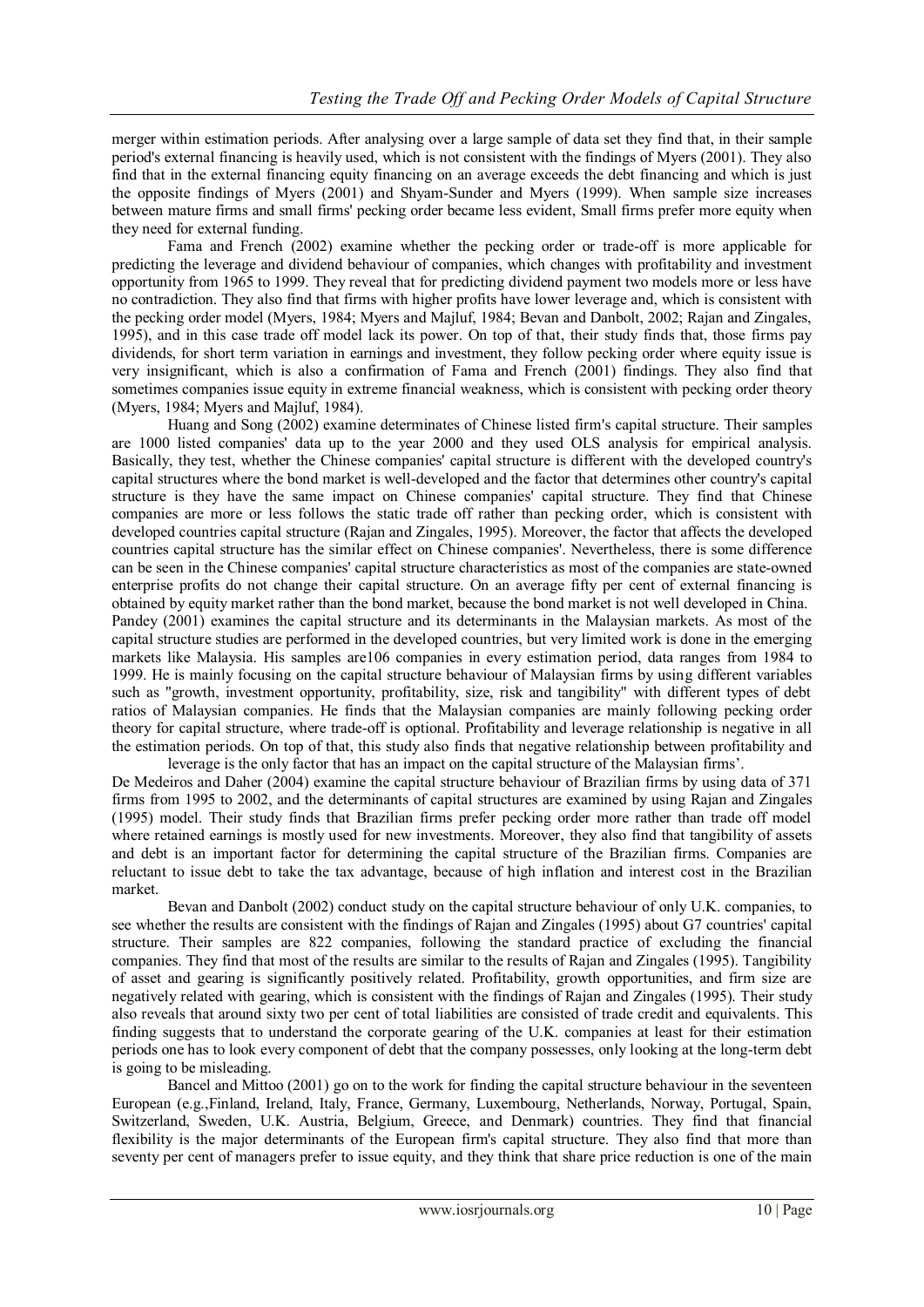merger within estimation periods. After analysing over a large sample of data set they find that, in their sample period's external financing is heavily used, which is not consistent with the findings of Myers (2001). They also find that in the external financing equity financing on an average exceeds the debt financing and which is just the opposite findings of Myers (2001) and Shyam-Sunder and Myers (1999). When sample size increases between mature firms and small firms' pecking order became less evident, Small firms prefer more equity when they need for external funding.

Fama and French (2002) examine whether the pecking order or trade-off is more applicable for predicting the leverage and dividend behaviour of companies, which changes with profitability and investment opportunity from 1965 to 1999. They reveal that for predicting dividend payment two models more or less have no contradiction. They also find that firms with higher profits have lower leverage and, which is consistent with the pecking order model (Myers, 1984; Myers and Majluf, 1984; Bevan and Danbolt, 2002; Rajan and Zingales, 1995), and in this case trade off model lack its power. On top of that, their study finds that, those firms pay dividends, for short term variation in earnings and investment, they follow pecking order where equity issue is very insignificant, which is also a confirmation of Fama and French (2001) findings. They also find that sometimes companies issue equity in extreme financial weakness, which is consistent with pecking order theory (Myers, 1984; Myers and Majluf, 1984).

Huang and Song (2002) examine determinates of Chinese listed firm's capital structure. Their samples are 1000 listed companies' data up to the year 2000 and they used OLS analysis for empirical analysis. Basically, they test, whether the Chinese companies' capital structure is different with the developed country's capital structures where the bond market is well-developed and the factor that determines other country's capital structure is they have the same impact on Chinese companies' capital structure. They find that Chinese companies are more or less follows the static trade off rather than pecking order, which is consistent with developed countries capital structure (Rajan and Zingales, 1995). Moreover, the factor that affects the developed countries capital structure has the similar effect on Chinese companies'. Nevertheless, there is some difference can be seen in the Chinese companies' capital structure characteristics as most of the companies are state-owned enterprise profits do not change their capital structure. On an average fifty per cent of external financing is obtained by equity market rather than the bond market, because the bond market is not well developed in China. Pandey (2001) examines the capital structure and its determinants in the Malaysian markets. As most of the capital structure studies are performed in the developed countries, but very limited work is done in the emerging markets like Malaysia. His samples are106 companies in every estimation period, data ranges from 1984 to 1999. He is mainly focusing on the capital structure behaviour of Malaysian firms by using different variables such as "growth, investment opportunity, profitability, size, risk and tangibility" with different types of debt ratios of Malaysian companies. He finds that the Malaysian companies are mainly following pecking order theory for capital structure, where trade-off is optional. Profitability and leverage relationship is negative in all the estimation periods. On top of that, this study also finds that negative relationship between profitability and

leverage is the only factor that has an impact on the capital structure of the Malaysian firms'. De Medeiros and Daher (2004) examine the capital structure behaviour of Brazilian firms by using data of 371 firms from 1995 to 2002, and the determinants of capital structures are examined by using Rajan and Zingales (1995) model. Their study finds that Brazilian firms prefer pecking order more rather than trade off model where retained earnings is mostly used for new investments. Moreover, they also find that tangibility of assets and debt is an important factor for determining the capital structure of the Brazilian firms. Companies are reluctant to issue debt to take the tax advantage, because of high inflation and interest cost in the Brazilian market.

Bevan and Danbolt (2002) conduct study on the capital structure behaviour of only U.K. companies, to see whether the results are consistent with the findings of Rajan and Zingales (1995) about G7 countries' capital structure. Their samples are 822 companies, following the standard practice of excluding the financial companies. They find that most of the results are similar to the results of Rajan and Zingales (1995). Tangibility of asset and gearing is significantly positively related. Profitability, growth opportunities, and firm size are negatively related with gearing, which is consistent with the findings of Rajan and Zingales (1995). Their study also reveals that around sixty two per cent of total liabilities are consisted of trade credit and equivalents. This finding suggests that to understand the corporate gearing of the U.K. companies at least for their estimation periods one has to look every component of debt that the company possesses, only looking at the long-term debt is going to be misleading.

Bancel and Mittoo (2001) go on to the work for finding the capital structure behaviour in the seventeen European (e.g.,Finland, Ireland, Italy, France, Germany, Luxembourg, Netherlands, Norway, Portugal, Spain, Switzerland, Sweden, U.K. Austria, Belgium, Greece, and Denmark) countries. They find that financial flexibility is the major determinants of the European firm's capital structure. They also find that more than seventy per cent of managers prefer to issue equity, and they think that share price reduction is one of the main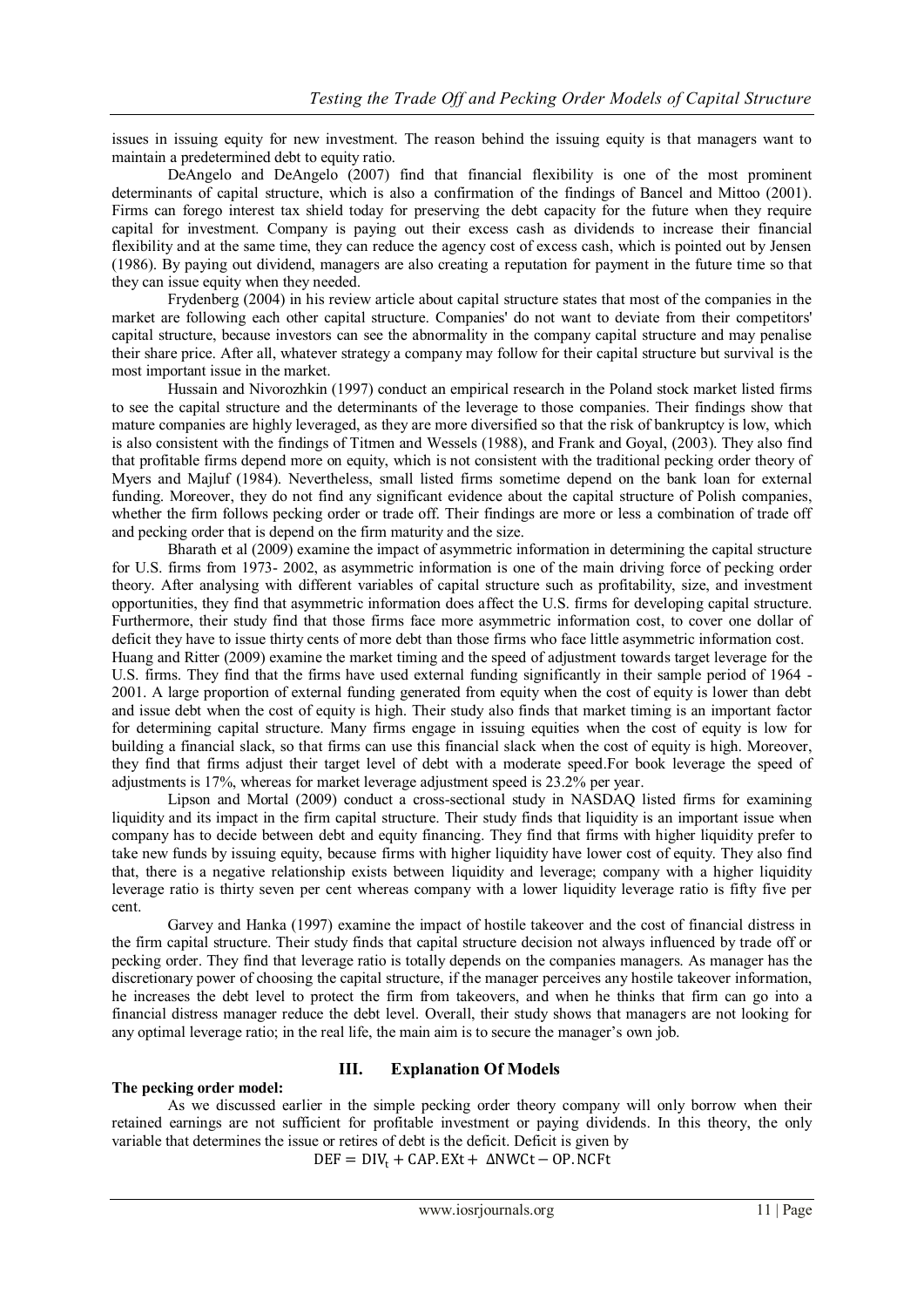issues in issuing equity for new investment. The reason behind the issuing equity is that managers want to maintain a predetermined debt to equity ratio.

DeAngelo and DeAngelo (2007) find that financial flexibility is one of the most prominent determinants of capital structure, which is also a confirmation of the findings of Bancel and Mittoo (2001). Firms can forego interest tax shield today for preserving the debt capacity for the future when they require capital for investment. Company is paying out their excess cash as dividends to increase their financial flexibility and at the same time, they can reduce the agency cost of excess cash, which is pointed out by Jensen (1986). By paying out dividend, managers are also creating a reputation for payment in the future time so that they can issue equity when they needed.

Frydenberg (2004) in his review article about capital structure states that most of the companies in the market are following each other capital structure. Companies' do not want to deviate from their competitors' capital structure, because investors can see the abnormality in the company capital structure and may penalise their share price. After all, whatever strategy a company may follow for their capital structure but survival is the most important issue in the market.

Hussain and Nivorozhkin (1997) conduct an empirical research in the Poland stock market listed firms to see the capital structure and the determinants of the leverage to those companies. Their findings show that mature companies are highly leveraged, as they are more diversified so that the risk of bankruptcy is low, which is also consistent with the findings of Titmen and Wessels (1988), and Frank and Goyal, (2003). They also find that profitable firms depend more on equity, which is not consistent with the traditional pecking order theory of Myers and Majluf (1984). Nevertheless, small listed firms sometime depend on the bank loan for external funding. Moreover, they do not find any significant evidence about the capital structure of Polish companies, whether the firm follows pecking order or trade off. Their findings are more or less a combination of trade off and pecking order that is depend on the firm maturity and the size.

Bharath et al (2009) examine the impact of asymmetric information in determining the capital structure for U.S. firms from 1973- 2002, as asymmetric information is one of the main driving force of pecking order theory. After analysing with different variables of capital structure such as profitability, size, and investment opportunities, they find that asymmetric information does affect the U.S. firms for developing capital structure. Furthermore, their study find that those firms face more asymmetric information cost, to cover one dollar of deficit they have to issue thirty cents of more debt than those firms who face little asymmetric information cost.

Huang and Ritter (2009) examine the market timing and the speed of adjustment towards target leverage for the U.S. firms. They find that the firms have used external funding significantly in their sample period of 1964 - 2001. A large proportion of external funding generated from equity when the cost of equity is lower than debt and issue debt when the cost of equity is high. Their study also finds that market timing is an important factor for determining capital structure. Many firms engage in issuing equities when the cost of equity is low for building a financial slack, so that firms can use this financial slack when the cost of equity is high. Moreover, they find that firms adjust their target level of debt with a moderate speed.For book leverage the speed of adjustments is 17%, whereas for market leverage adjustment speed is 23.2% per year.

Lipson and Mortal (2009) conduct a cross-sectional study in NASDAQ listed firms for examining liquidity and its impact in the firm capital structure. Their study finds that liquidity is an important issue when company has to decide between debt and equity financing. They find that firms with higher liquidity prefer to take new funds by issuing equity, because firms with higher liquidity have lower cost of equity. They also find that, there is a negative relationship exists between liquidity and leverage; company with a higher liquidity leverage ratio is thirty seven per cent whereas company with a lower liquidity leverage ratio is fifty five per cent.

Garvey and Hanka (1997) examine the impact of hostile takeover and the cost of financial distress in the firm capital structure. Their study finds that capital structure decision not always influenced by trade off or pecking order. They find that leverage ratio is totally depends on the companies managers. As manager has the discretionary power of choosing the capital structure, if the manager perceives any hostile takeover information, he increases the debt level to protect the firm from takeovers, and when he thinks that firm can go into a financial distress manager reduce the debt level. Overall, their study shows that managers are not looking for any optimal leverage ratio; in the real life, the main aim is to secure the manager's own job.

# **The pecking order model:**

# **III. Explanation Of Models**

As we discussed earlier in the simple pecking order theory company will only borrow when their retained earnings are not sufficient for profitable investment or paying dividends. In this theory, the only variable that determines the issue or retires of debt is the deficit. Deficit is given by

 $DEF = DIV_t + CAP.EXt + \Delta NWCt - OP.NCFt$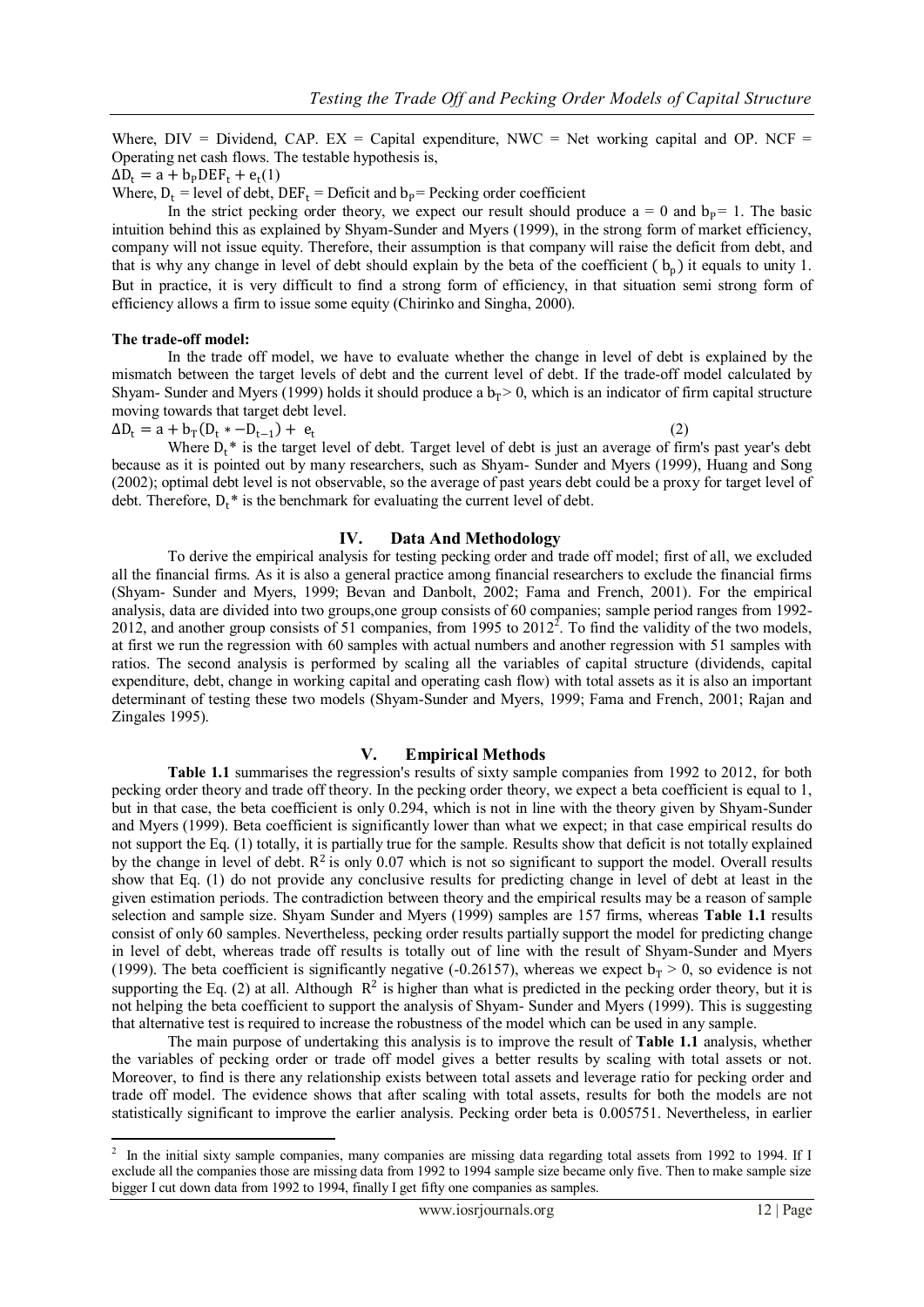(2)

Where,  $DIV = Dividend$ ,  $CAP$ ,  $EX = Capital$  expenditure,  $NWC = Net$  working capital and OP. NCF Operating net cash flows. The testable hypothesis is,

 $\Delta D_t = a + b_P DEF_t + e_t(1)$ 

Where,  $D_t$  = level of debt, DEF<sub>t</sub> = Deficit and  $b_p$ = Pecking order coefficient

In the strict pecking order theory, we expect our result should produce  $a = 0$  and  $b_p = 1$ . The basic intuition behind this as explained by Shyam-Sunder and Myers (1999), in the strong form of market efficiency, company will not issue equity. Therefore, their assumption is that company will raise the deficit from debt, and that is why any change in level of debt should explain by the beta of the coefficient  $(b_p)$  it equals to unity 1. But in practice, it is very difficult to find a strong form of efficiency, in that situation semi strong form of efficiency allows a firm to issue some equity (Chirinko and Singha, 2000).

#### **The trade-off model:**

In the trade off model, we have to evaluate whether the change in level of debt is explained by the mismatch between the target levels of debt and the current level of debt. If the trade-off model calculated by Shyam- Sunder and Myers (1999) holds it should produce a  $b_T > 0$ , which is an indicator of firm capital structure moving towards that target debt level.

 $\Delta D_t = a + b_T (D_t * -D_{t-1}) + e_t$ 

Where  $D_t^*$  is the target level of debt. Target level of debt is just an average of firm's past year's debt because as it is pointed out by many researchers, such as Shyam- Sunder and Myers (1999), Huang and Song (2002); optimal debt level is not observable, so the average of past years debt could be a proxy for target level of debt. Therefore,  $D_t^*$  is the benchmark for evaluating the current level of debt.

## **IV. Data And Methodology**

To derive the empirical analysis for testing pecking order and trade off model; first of all, we excluded all the financial firms. As it is also a general practice among financial researchers to exclude the financial firms (Shyam- Sunder and Myers, 1999; Bevan and Danbolt, 2002; Fama and French, 2001). For the empirical analysis, data are divided into two groups,one group consists of 60 companies; sample period ranges from 1992- 2012, and another group consists of 51 companies, from 1995 to  $2012^2$ . To find the validity of the two models, at first we run the regression with 60 samples with actual numbers and another regression with 51 samples with ratios. The second analysis is performed by scaling all the variables of capital structure (dividends, capital expenditure, debt, change in working capital and operating cash flow) with total assets as it is also an important determinant of testing these two models (Shyam-Sunder and Myers, 1999; Fama and French, 2001; Rajan and Zingales 1995).

## **V. Empirical Methods**

**Table 1.1** summarises the regression's results of sixty sample companies from 1992 to 2012, for both pecking order theory and trade off theory. In the pecking order theory, we expect a beta coefficient is equal to 1, but in that case, the beta coefficient is only 0.294, which is not in line with the theory given by Shyam-Sunder and Myers (1999). Beta coefficient is significantly lower than what we expect; in that case empirical results do not support the Eq. (1) totally, it is partially true for the sample. Results show that deficit is not totally explained by the change in level of debt.  $\mathbb{R}^2$  is only 0.07 which is not so significant to support the model. Overall results show that Eq. (1) do not provide any conclusive results for predicting change in level of debt at least in the given estimation periods. The contradiction between theory and the empirical results may be a reason of sample selection and sample size. Shyam Sunder and Myers (1999) samples are 157 firms, whereas **Table 1.1** results consist of only 60 samples. Nevertheless, pecking order results partially support the model for predicting change in level of debt, whereas trade off results is totally out of line with the result of Shyam-Sunder and Myers (1999). The beta coefficient is significantly negative (-0.26157), whereas we expect  $b_T > 0$ , so evidence is not supporting the Eq. (2) at all. Although  $R^2$  is higher than what is predicted in the pecking order theory, but it is not helping the beta coefficient to support the analysis of Shyam- Sunder and Myers (1999). This is suggesting that alternative test is required to increase the robustness of the model which can be used in any sample.

The main purpose of undertaking this analysis is to improve the result of **Table 1.1** analysis, whether the variables of pecking order or trade off model gives a better results by scaling with total assets or not. Moreover, to find is there any relationship exists between total assets and leverage ratio for pecking order and trade off model. The evidence shows that after scaling with total assets, results for both the models are not statistically significant to improve the earlier analysis. Pecking order beta is 0.005751. Nevertheless, in earlier

<sup>&</sup>lt;sup>2</sup> In the initial sixty sample companies, many companies are missing data regarding total assets from 1992 to 1994. If I exclude all the companies those are missing data from 1992 to 1994 sample size became only five. Then to make sample size bigger I cut down data from 1992 to 1994, finally I get fifty one companies as samples.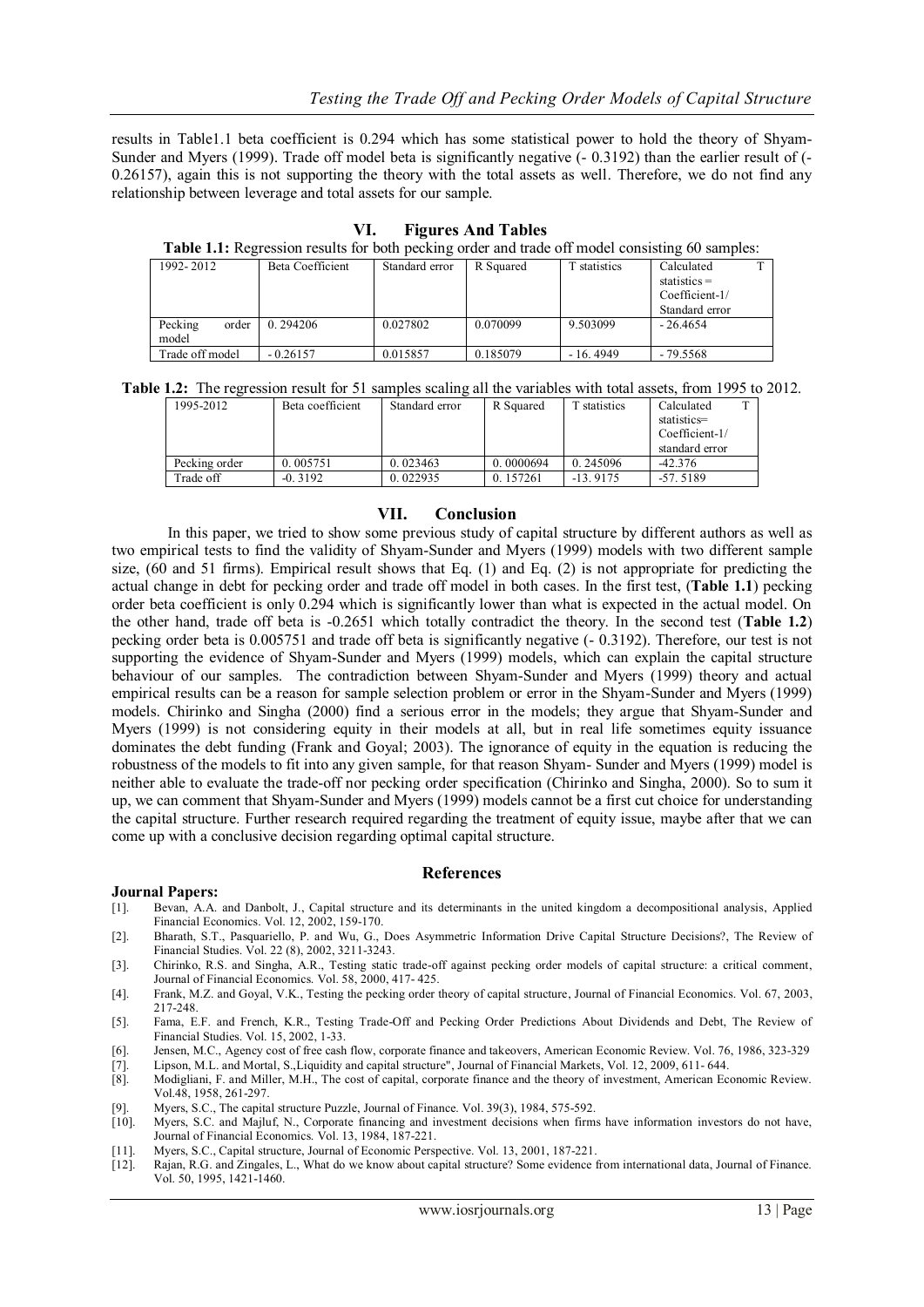results in Table1.1 beta coefficient is 0.294 which has some statistical power to hold the theory of Shyam-Sunder and Myers (1999). Trade off model beta is significantly negative (- 0.3192) than the earlier result of (- 0.26157), again this is not supporting the theory with the total assets as well. Therefore, we do not find any relationship between leverage and total assets for our sample.

| <b>Table 1.1:</b> Regression results for both pecking order and trade off model consisting 60 samples: |                  |                |           |              |                                                                  |  |  |  |  |  |  |
|--------------------------------------------------------------------------------------------------------|------------------|----------------|-----------|--------------|------------------------------------------------------------------|--|--|--|--|--|--|
| 1992-2012                                                                                              | Beta Coefficient | Standard error | R Squared | T statistics | Calculated<br>$statistics =$<br>Coefficient-1/<br>Standard error |  |  |  |  |  |  |
| order<br>Pecking<br>model                                                                              | 0.294206         | 0.027802       | 0.070099  | 9.503099     | $-26.4654$                                                       |  |  |  |  |  |  |
| Trade off model                                                                                        | $-0.26157$       | 0.015857       | 0.185079  | $-16.4949$   | $-79.5568$                                                       |  |  |  |  |  |  |

**VI. Figures And Tables**

**Table 1.1:** Regression results for both pecking order and trade off model consisting 60 samples:

**Table 1.2:** The regression result for 51 samples scaling all the variables with total assets, from 1995 to 2012.

| 1995-2012     | Beta coefficient | Standard error | R Squared | statistics | Calculated     |  |
|---------------|------------------|----------------|-----------|------------|----------------|--|
|               |                  |                |           |            | statistics=    |  |
|               |                  |                |           |            | Coefficient-1/ |  |
|               |                  |                |           |            | standard error |  |
| Pecking order | 0.005751         | 0.023463       | 0.0000694 | 0.245096   | $-42.376$      |  |
| Trade off     | $-0.3192$        | 0.022935       | 0.157261  | $-13.9175$ | $-57.5189$     |  |

## **VII. Conclusion**

In this paper, we tried to show some previous study of capital structure by different authors as well as two empirical tests to find the validity of Shyam-Sunder and Myers (1999) models with two different sample size, (60 and 51 firms). Empirical result shows that Eq. (1) and Eq. (2) is not appropriate for predicting the actual change in debt for pecking order and trade off model in both cases. In the first test, (**Table 1.1**) pecking order beta coefficient is only 0.294 which is significantly lower than what is expected in the actual model. On the other hand, trade off beta is -0.2651 which totally contradict the theory. In the second test (**Table 1.2**) pecking order beta is 0.005751 and trade off beta is significantly negative (- 0.3192). Therefore, our test is not supporting the evidence of Shyam-Sunder and Myers (1999) models, which can explain the capital structure behaviour of our samples. The contradiction between Shyam-Sunder and Myers (1999) theory and actual empirical results can be a reason for sample selection problem or error in the Shyam-Sunder and Myers (1999) models. Chirinko and Singha (2000) find a serious error in the models; they argue that Shyam-Sunder and Myers (1999) is not considering equity in their models at all, but in real life sometimes equity issuance dominates the debt funding (Frank and Goyal; 2003). The ignorance of equity in the equation is reducing the robustness of the models to fit into any given sample, for that reason Shyam- Sunder and Myers (1999) model is neither able to evaluate the trade-off nor pecking order specification (Chirinko and Singha, 2000). So to sum it up, we can comment that Shyam-Sunder and Myers (1999) models cannot be a first cut choice for understanding the capital structure. Further research required regarding the treatment of equity issue, maybe after that we can come up with a conclusive decision regarding optimal capital structure.

### **References**

### **Journal Papers:**

- [1]. Bevan, A.A. and Danbolt, J., Capital structure and its determinants in the united kingdom a decompositional analysis, Applied Financial Economics. Vol. 12, 2002, 159-170.
- [2]. Bharath, S.T., Pasquariello, P. and Wu, G., Does Asymmetric Information Drive Capital Structure Decisions?, [The Review of](http://papers.ssrn.com/sol3/papers.cfm?abstract_id=1443054##)  [Financial Studies. Vol. 22 \(8\), 2002,](http://papers.ssrn.com/sol3/papers.cfm?abstract_id=1443054##) 3211-3243.
- [3]. Chirinko, R.S. and Singha, A.R., Testing static trade-off against pecking order models of capital structure: a critical comment, Journal of Financial Economics. Vol. 58, 2000, 417- 425.
- [4]. Frank, M.Z. and Goyal, V.K., Testing the pecking order theory of capital structure, Journal of Financial Economics. Vol. 67, 2003, 217-248.
- [5]. Fama, E.F. and French, K.R., Testing Trade-Off and Pecking Order Predictions About Dividends and Debt, The Review of Financial Studies. Vol. 15, 2002, 1-33.
- [6]. Jensen, M.C., Agency cost of free cash flow, corporate finance and takeovers, American Economic Review. Vol. 76, 1986, 323-329
- [7]. Lipson, M.L. and Mortal, S.,Liquidity and capital structure", Journal of Financial Markets, Vol. 12, 2009, 611- 644.<br>[8]. Modigliani, F. and Miller, M.H., The cost of capital, corporate finance and the theory of inves
- Modigliani, F. and Miller, M.H., The cost of capital, corporate finance and the theory of investment, American Economic Review. Vol.48, 1958, 261-297.
- [9]. Myers, S.C., The capital structure Puzzle, Journal of Finance. Vol. 39(3), 1984, 575-592.
- [10]. Myers, S.C. and Majluf, N., Corporate financing and investment decisions when firms have information investors do not have, Journal of Financial Economics. Vol. 13, 1984, 187-221.
- [11]. Myers, S.C., Capital structure, Journal of Economic Perspective. Vol. 13, 2001, 187-221.
- [12]. Rajan, R.G. and Zingales, L., What do we know about capital structure? Some evidence from international data, Journal of Finance. Vol. 50, 1995, 1421-1460.